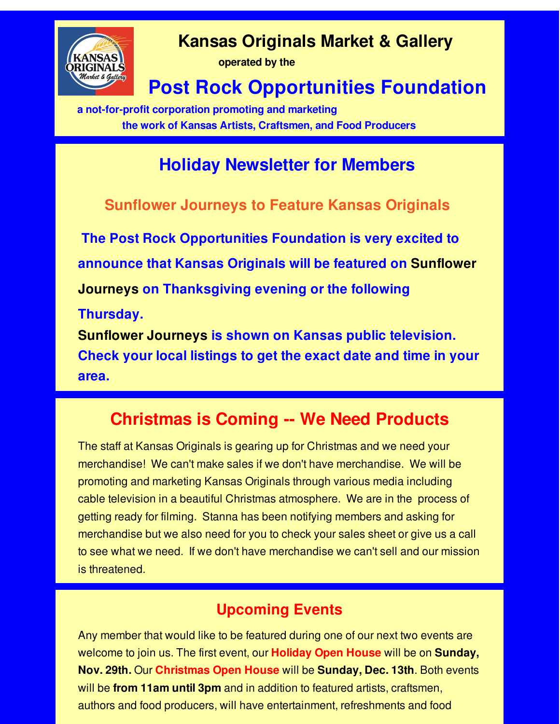

## **Kansas Originals Market & Gallery**

**operated by the**

# **Post Rock Opportunities Foundation**

**a not-for-profit corporation promoting and marketing the work of Kansas Artists, Craftsmen, and Food Producers**

## **Holiday Newsletter for Members**

#### **Sunflower Journeys to Feature Kansas Originals**

**The Post Rock Opportunities Foundation is very excited to announce that Kansas Originals will be featured on Sunflower Journeys on Thanksgiving evening or the following Thursday. Sunflower Journeys is shown on Kansas public television. Check your local listings to get the exact date and time in your**

**area.**

## **Christmas is Coming -- We Need Products**

The staff at Kansas Originals is gearing up for Christmas and we need your merchandise! We can't make sales if we don't have merchandise. We will be promoting and marketing Kansas Originals through various media including cable television in a beautiful Christmas atmosphere. We are in the process of getting ready for filming. Stanna has been notifying members and asking for merchandise but we also need for you to check your sales sheet or give us a call to see what we need. If we don't have merchandise we can't sell and our mission is threatened.

#### **Upcoming Events**

Any member that would like to be featured during one of our next two events are welcome to join us. The first event, our **Holiday Open House** will be on **Sunday, Nov. 29th.** Our **Christmas Open House** will be **Sunday, Dec. 13th**. Both events will be **from 11am until 3pm** and in addition to featured artists, craftsmen, authors and food producers, will have entertainment, refreshments and food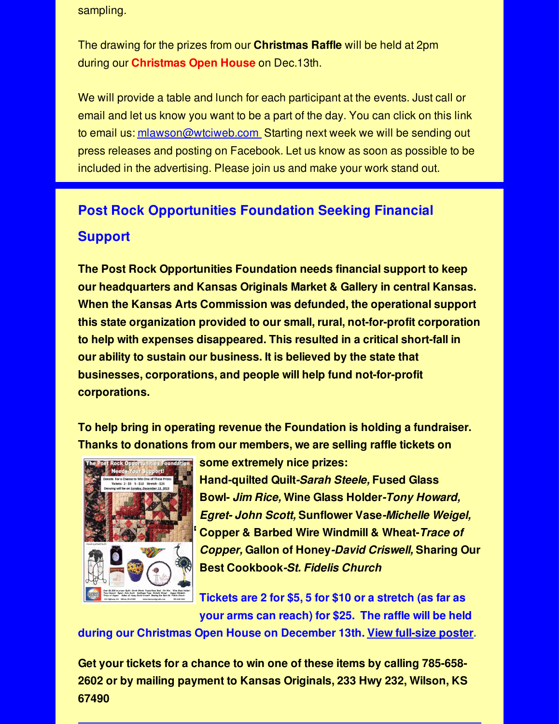sampling.

The drawing for the prizes from our **Christmas Raffle** will be held at 2pm during our **Christmas Open House** on Dec.13th.

We will provide a table and lunch for each participant at the events. Just call or email and let us know you want to be a part of the day. You can click on this link to email us: [mlawson@wtciweb.com](mailto:mlawson@wtciweb.com) Starting next week we will be sending out press releases and posting on Facebook. Let us know as soon as possible to be included in the advertising. Please join us and make your work stand out.

### **Post Rock Opportunities Foundation Seeking Financial Support**

**The Post Rock Opportunities Foundation needs financial support to keep our headquarters and Kansas Originals Market & Gallery in central Kansas. When the Kansas Arts Commission was defunded, the operational support this state organization provided to our small, rural, not-for-profit corporation to help with expenses disappeared. This resulted in a critical short-fall in our ability to sustain our business. It is believed by the state that businesses, corporations, and people will help fund not-for-profit corporations.**

**To help bring in operating revenue the Foundation is holding a fundraiser. Thanks to donations from our members, we are selling raffle tickets on**



**some extremely nice prizes: Hand-quilted Quilt***-Sarah Steele,* **Fused Glass Bowl-** *Jim Rice,* **Wine Glass Holder***-Tony Howard, Egret- John Scott,* **Sunflower Vase***-Michelle Weigel,* **Copper & Barbed Wire Windmill & Wheat-***Trace of Copper,* **Gallon of Honey***-David Criswell,* **Sharing Our**

**Tickets are 2 for \$5, 5 for \$10 or a stretch (as far as your arms can reach) for \$25. The raffle will be held**

**during our Christmas Open House on December 13th. View [full-size](http://r20.rs6.net/tn.jsp?f=001y1ltD-1ldJDzDiVwNHG-Es5HooYJqU2RTJRjSvwn_LiyjeQXwVNZuA3_lvcz4KiSMpcbQoMc5yJQ74E6tgdWcqsY6BXfOFCIlX8Qk5X0Rf26QN5iSMLqCIC6l6IZVjxkkkzNsga_lgI-tfGLN_FhSKYMJ2Jv_ShYyIy-miXYCg9AwJAOJsN1gw7IK6mfkfS0KlZw5023oItvB0t_jNPQ2RP_l59Uw58UQBSl6pHJ9kuaF-9XJoMetA==&c=&ch=) poster.**

**Best Cookbook***-St. Fidelis Church*

**Get your tickets for a chance to win one of these items by calling 785-658- 2602 or by mailing payment to Kansas Originals, 233 Hwy 232, Wilson, KS 67490**